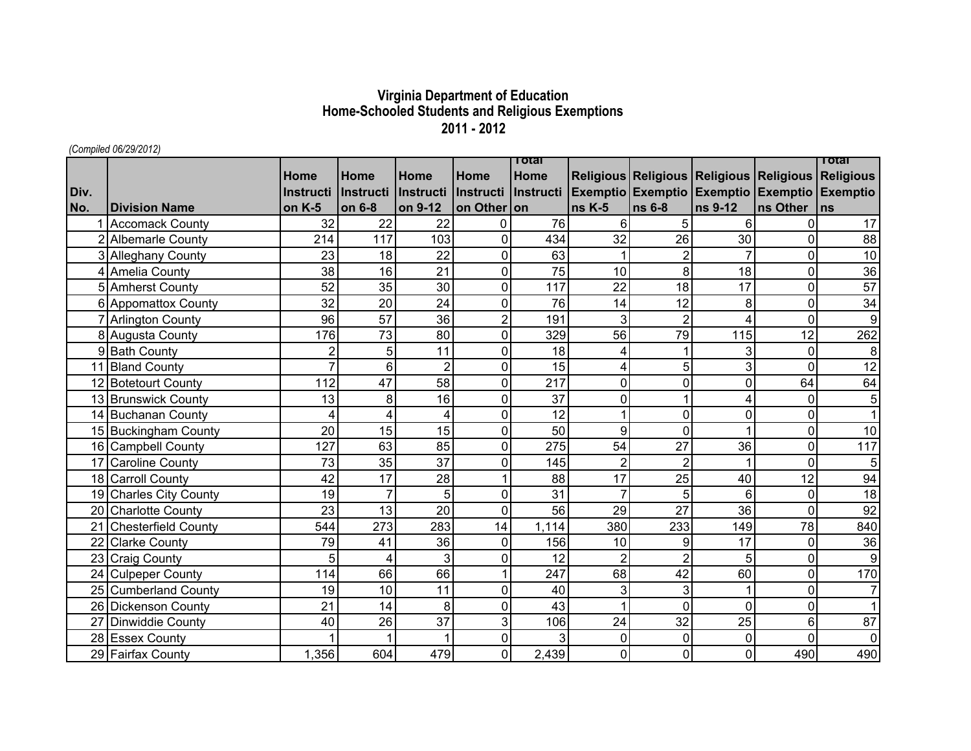## **Virginia Department of Education Home-Schooled Students and Religious Exemptions 2011 - 2012**

*(Compiled 06/29/2012)*

|      |                            |                  |                  |                |                | Total               |                |                |                                                   |                | Total            |
|------|----------------------------|------------------|------------------|----------------|----------------|---------------------|----------------|----------------|---------------------------------------------------|----------------|------------------|
|      |                            | Home             | Home             | Home           | Home           | Home                |                |                | Religious Religious Religious Religious Religious |                |                  |
| Div. |                            | <b>Instructi</b> | <i>Instructi</i> | Instructi      |                | Instructi Instructi |                |                | Exemptio Exemptio Exemptio Exemptio Exemptio      |                |                  |
| No.  | <b>Division Name</b>       | on K-5           | on 6-8           | on 9-12        | on Other on    |                     | <b>ns K-5</b>  | $\ln s$ 6-8    | ns 9-12                                           | ns Other       | ns               |
|      | 1 Accomack County          | 32               | 22               | 22             | 0              | 76                  | 6              | 5              | 6                                                 | $\Omega$       | 17               |
|      | 2 Albemarle County         | 214              | 117              | 103            | $\overline{0}$ | 434                 | 32             | 26             | 30                                                | $\Omega$       | 88               |
|      | 3 Alleghany County         | 23               | 18               | 22             | 0              | 63                  |                | $\overline{2}$ | $\overline{7}$                                    | 0              | 10               |
|      | 4 Amelia County            | 38               | 16               | 21             | $\overline{0}$ | 75                  | 10             | 8              | 18                                                | $\overline{0}$ | 36               |
|      | 5 Amherst County           | 52               | 35               | 30             | $\overline{0}$ | 117                 | 22             | 18             | 17                                                | $\mathbf 0$    | 57               |
|      | 6 Appomattox County        | 32               | 20               | 24             | $\mathbf 0$    | 76                  | 14             | 12             | 8                                                 | $\mathbf 0$    | 34               |
|      | 7 Arlington County         | 96               | 57               | 36             | $\overline{2}$ | 191                 | 3              | $\overline{2}$ | 4                                                 | $\overline{0}$ | 9                |
|      | 8 Augusta County           | 176              | 73               | 80             | 0              | 329                 | 56             | 79             | 115                                               | 12             | 262              |
|      | 9 Bath County              | $\overline{2}$   | 5                | 11             | $\mathbf 0$    | 18                  | 4              |                | 3                                                 | $\overline{0}$ | 8                |
|      | 11 Bland County            | $\overline{7}$   | 6                | $\overline{2}$ | $\overline{0}$ | 15                  | 4              | 5              | 3                                                 | $\mathbf 0$    | $\overline{12}$  |
|      | 12 Botetourt County        | 112              | 47               | 58             | $\overline{0}$ | 217                 | $\overline{0}$ | $\overline{0}$ | $\Omega$                                          | 64             | 64               |
|      | 13 Brunswick County        | 13               | 8                | 16             | $\overline{0}$ | 37                  | $\mathbf 0$    |                | 4                                                 | $\overline{0}$ | 5                |
|      | 14 Buchanan County         | 4                | $\overline{4}$   | 4              | $\mathbf 0$    | 12                  |                | 0              | $\mathbf 0$                                       | $\mathbf 0$    |                  |
|      | 15 Buckingham County       | 20               | 15               | 15             | 0              | 50                  | 9              | $\overline{0}$ |                                                   | $\mathbf 0$    | 10               |
|      | 16 Campbell County         | 127              | 63               | 85             | $\overline{0}$ | 275                 | 54             | 27             | 36                                                | $\mathbf 0$    | 117              |
|      | 17 Caroline County         | 73               | 35               | 37             | 0              | 145                 | $\overline{2}$ | $\overline{2}$ |                                                   | 0              | 5                |
|      | 18 Carroll County          | 42               | 17               | 28             |                | 88                  | 17             | 25             | 40                                                | 12             | 94               |
|      | 19 Charles City County     | 19               | $\overline{7}$   | 5              | $\overline{0}$ | 31                  | $\overline{7}$ | 5              | 6                                                 | $\mathbf 0$    | 18               |
|      | 20 Charlotte County        | 23               | 13               | 20             | $\mathbf 0$    | 56                  | 29             | 27             | 36                                                | $\overline{0}$ | 92               |
| 21   | <b>Chesterfield County</b> | 544              | 273              | 283            | 14             | 1,114               | 380            | 233            | 149                                               | 78             | 840              |
| 22   | <b>Clarke County</b>       | 79               | 41               | 36             | $\overline{0}$ | 156                 | 10             | 9              | 17                                                | $\overline{0}$ | 36               |
|      | 23 Craig County            | 5                | 4                | 3              | 0              | 12                  | $\overline{2}$ | 2              | 5                                                 | $\overline{0}$ | $\boldsymbol{9}$ |
|      | 24 Culpeper County         | 114              | 66               | 66             | 1              | 247                 | 68             | 42             | 60                                                | $\mathbf 0$    | 170              |
|      | 25 Cumberland County       | 19               | 10               | 11             | $\overline{0}$ | 40                  | 3              | 3              |                                                   | $\overline{0}$ | 7                |
|      | 26 Dickenson County        | 21               | 14               | 8              | $\overline{0}$ | 43                  |                | $\Omega$       | $\Omega$                                          | $\overline{0}$ |                  |
|      | Dinwiddie County           | 40               | 26               | 37             | 3              | 106                 | 24             | 32             | 25                                                | 6              | 87               |
|      | 28 Essex County            |                  |                  |                | $\overline{0}$ | 3                   | $\mathbf 0$    | $\Omega$       | $\Omega$                                          | $\Omega$       | $\overline{0}$   |
|      | 29 Fairfax County          | 1,356            | 604              | 479            | $\overline{0}$ | 2,439               | $\overline{0}$ | 0              | $\Omega$                                          | 490            | 490              |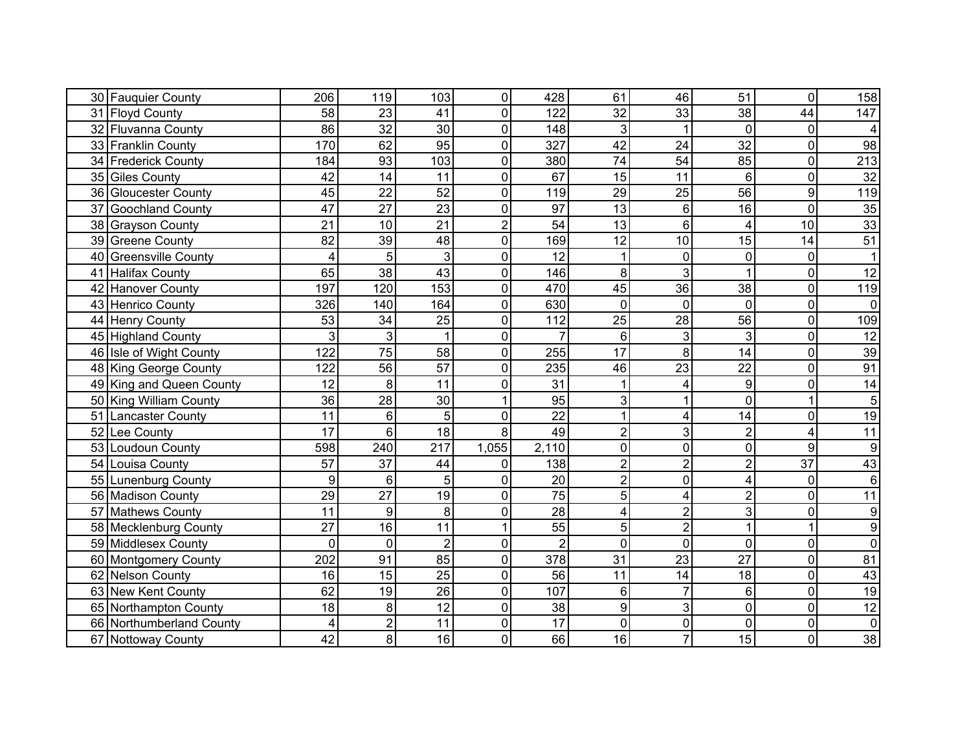| 30 Fauquier County              | 206             | 119             | 103            | $\overline{0}$ | 428             | 61             | 46             | 51              | $\mathbf 0$      | 158              |
|---------------------------------|-----------------|-----------------|----------------|----------------|-----------------|----------------|----------------|-----------------|------------------|------------------|
| 31 Floyd County                 | 58              | 23              | 41             | $\overline{0}$ | 122             | 32             | 33             | 38              | 44               | 147              |
| 32 Fluvanna County              | 86              | 32              | 30             | $\pmb{0}$      | 148             | 3              |                | $\Omega$        | $\overline{0}$   | $\overline{4}$   |
| 33 Franklin County              | 170             | 62              | 95             | $\mathbf 0$    | 327             | 42             | 24             | 32              | $\overline{0}$   | 98               |
| 34 Frederick County             | 184             | 93              | 103            | $\overline{0}$ | 380             | 74             | 54             | 85              | 0                | 213              |
| 35 Giles County                 | 42              | 14              | 11             | $\overline{0}$ | 67              | 15             | 11             | 6               | $\overline{0}$   | 32               |
| 36 Gloucester County            | 45              | 22              | 52             | $\mathbf 0$    | 119             | 29             | 25             | 56              | $\overline{9}$   | 119              |
| 37<br><b>Goochland County</b>   | 47              | 27              | 23             | $\pmb{0}$      | 97              | 13             | 6              | 16              | $\overline{0}$   | 35               |
| 38 Grayson County               | 21              | 10              | 21             | $\overline{2}$ | 54              | 13             | 6              | 4               | 10               | 33               |
| 39 Greene County                | 82              | $\overline{39}$ | 48             | $\mathbf 0$    | 169             | 12             | 10             | $\overline{15}$ | 14               | 51               |
| 40<br><b>Greensville County</b> | 4               | 5               | 3              | $\mathbf 0$    | 12              |                | $\Omega$       | $\mathbf 0$     | $\mathbf 0$      | $\mathbf{1}$     |
| Halifax County<br>41            | 65              | 38              | 43             | $\mathbf 0$    | 146             | 8              | 3              | 1               | $\overline{0}$   | 12               |
| 42<br><b>Hanover County</b>     | 197             | 120             | 153            | $\mathbf 0$    | 470             | 45             | 36             | 38              | $\mathbf 0$      | 119              |
| 43 Henrico County               | 326             | 140             | 164            | $\pmb{0}$      | 630             | 0              | 0              | $\overline{0}$  | $\mathbf 0$      | $\pmb{0}$        |
| 44 Henry County                 | 53              | 34              | 25             | $\pmb{0}$      | 112             | 25             | 28             | 56              | $\mathbf 0$      | 109              |
| 45 Highland County              | 3               | 3               |                | $\mathbf 0$    | $\overline{7}$  | 6              | 3              | 3               | $\mathbf 0$      | $\overline{12}$  |
| 46 Isle of Wight County         | 122             | 75              | 58             | $\pmb{0}$      | 255             | 17             | 8              | 14              | $\mathbf 0$      | 39               |
| 48 King George County           | 122             | 56              | 57             | $\mathbf 0$    | 235             | 46             | 23             | 22              | $\mathbf 0$      | 91               |
| 49 King and Queen County        | 12              | 8               | 11             | $\mathbf 0$    | 31              |                |                | 9               | $\overline{0}$   | 14               |
| 50 King William County          | 36              | 28              | 30             |                | 95              | 3              |                | $\overline{0}$  |                  | 5                |
| 51<br><b>Lancaster County</b>   | 11              | 6               | 5              | $\mathbf 0$    | 22              | 1              | 4              | 14              | $\mathbf 0$      | 19               |
| 52 Lee County                   | $\overline{17}$ | 6               | 18             | 8              | 49              | $\overline{2}$ | 3              | $\overline{c}$  | 4                | $\overline{11}$  |
| 53<br>Loudoun County            | 598             | 240             | 217            | 1,055          | 2,110           | 0              | 0              | $\mathbf 0$     | $\boldsymbol{9}$ | $\boldsymbol{9}$ |
| 54 Louisa County                | 57              | 37              | 44             | $\mathbf 0$    | 138             | $\overline{2}$ | $\overline{2}$ | $\overline{2}$  | 37               | 43               |
| 55 Lunenburg County             | 9               | 6               | 5              | $\mathbf 0$    | 20              | $\overline{2}$ | 0              | 4               | $\mathbf 0$      | $6\phantom{1}6$  |
| 56 Madison County               | 29              | 27              | 19             | $\mathbf 0$    | 75              | 5              | 4              | $\overline{c}$  | $\overline{0}$   | 11               |
| 57 Mathews County               | 11              | 9               | 8              | $\mathbf 0$    | 28              | 4              | $\overline{2}$ | 3               | 0                | $\boldsymbol{9}$ |
| 58 Mecklenburg County           | $\overline{27}$ | 16              | 11             | $\mathbf{1}$   | $\overline{55}$ | 5              | $\overline{2}$ | 1               |                  | $\overline{9}$   |
| 59 Middlesex County             | $\overline{0}$  | $\mathbf 0$     | $\overline{2}$ | $\mathbf 0$    | $\overline{2}$  | $\overline{0}$ | 0              | $\overline{0}$  | $\mathbf 0$      | $\overline{0}$   |
| 60 Montgomery County            | 202             | 91              | 85             | $\pmb{0}$      | 378             | 31             | 23             | 27              | $\mathbf 0$      | 81               |
| 62 Nelson County                | 16              | 15              | 25             | $\mathbf 0$    | 56              | 11             | 14             | 18              | $\mathbf 0$      | 43               |
| 63 New Kent County              | 62              | 19              | 26             | $\mathbf 0$    | 107             | 6              |                | 6               | $\mathbf 0$      | 19               |
| 65 Northampton County           | 18              | 8               | 12             | $\mathbf 0$    | 38              | 9              | 3              | $\mathbf 0$     | $\overline{0}$   | 12               |
| 66 Northumberland County        | 4               | $\overline{2}$  | 11             | $\mathbf 0$    | $\overline{17}$ | 0              | $\Omega$       | $\mathbf 0$     | $\overline{0}$   | $\pmb{0}$        |
| 67 Nottoway County              | 42              | 8               | 16             | 0              | 66              | 16             |                | 15              | $\overline{0}$   | 38               |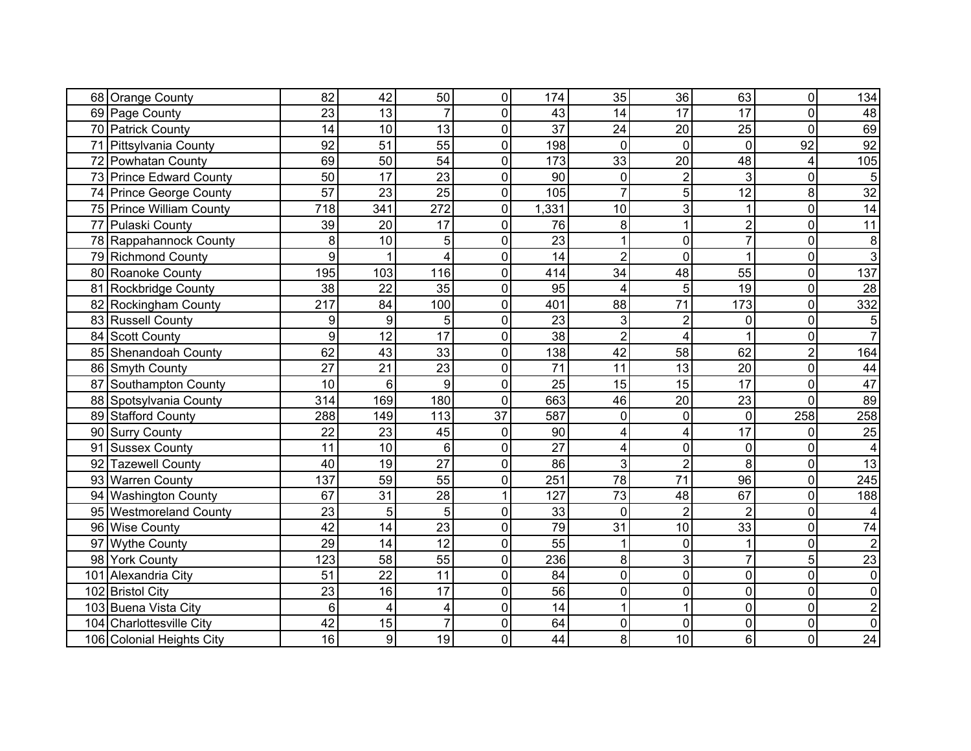| 68 Orange County           | 82              | 42              | 50              | $\pmb{0}$        | 174             | 35              | 36             | 63              | $\mathbf 0$    | 134             |
|----------------------------|-----------------|-----------------|-----------------|------------------|-----------------|-----------------|----------------|-----------------|----------------|-----------------|
| 69 Page County             | 23              | 13              |                 | $\overline{0}$   | 43              | 14              | 17             | 17              | $\Omega$       | 48              |
| 70 Patrick County          | 14              | 10              | 13              | $\mathbf 0$      | 37              | 24              | 20             | 25              | $\mathbf 0$    | 69              |
| 71 Pittsylvania County     | 92              | 51              | 55              | $\mathbf 0$      | 198             | 0               | $\Omega$       | $\Omega$        | 92             | 92              |
| 72 Powhatan County         | 69              | $\overline{50}$ | 54              | $\overline{0}$   | 173             | 33              | 20             | 48              | 4              | 105             |
| 73 Prince Edward County    | 50              | 17              | 23              | $\overline{0}$   | 90              | 0               |                | 3               | $\mathbf 0$    | 5               |
| 74 Prince George County    | $\overline{57}$ | $\overline{23}$ | 25              | $\mathbf 0$      | 105             | $\overline{7}$  | 5              | $\overline{12}$ | 8              | $\overline{32}$ |
| 75 Prince William County   | 718             | 341             | 272             | $\mathbf 0$      | 1,331           | 10              | 3              |                 | $\overline{0}$ | 14              |
| 77 Pulaski County          | 39              | 20              | 17              | $\overline{0}$   | 76              | 8               |                | $\overline{c}$  | $\mathbf 0$    | 11              |
| 78 Rappahannock County     | 8               | 10              | 5               | $\overline{0}$   | $\overline{23}$ |                 | 0              | $\overline{7}$  | $\mathbf 0$    | 8               |
| 79 Richmond County         | 9               |                 | 4               | $\mathbf 0$      | 14              | $\overline{2}$  | $\Omega$       |                 | $\mathbf 0$    | $\overline{3}$  |
| 80 Roanoke County          | 195             | 103             | 116             | $\mathbf 0$      | 414             | 34              | 48             | 55              | $\overline{0}$ | 137             |
| 81 Rockbridge County       | 38              | 22              | 35              | $\mathbf 0$      | 95              | 4               | 5              | 19              | $\mathbf 0$    | $\overline{28}$ |
| 82 Rockingham County       | 217             | 84              | 100             | $\mathbf 0$      | 401             | 88              | 71             | 173             | $\mathbf 0$    | 332             |
| 83 Russell County          | 9               | 9               | 5               | $\mathbf 0$      | 23              | 3               | $\overline{2}$ | 0               | $\mathbf 0$    | $\overline{5}$  |
| 84 Scott County            | 9               | $\overline{12}$ | 17              | $\mathbf 0$      | 38              | $\overline{2}$  | 4              |                 | $\overline{0}$ | $\overline{7}$  |
| 85 Shenandoah County       | 62              | 43              | 33              | $\mathbf 0$      | 138             | 42              | 58             | 62              | $\overline{2}$ | 164             |
| 86 Smyth County            | 27              | 21              | 23              | $\overline{0}$   | 71              | 11              | 13             | 20              | $\mathbf 0$    | 44              |
| 87 Southampton County      | 10              | $6\phantom{1}6$ | 9               | $\mathbf 0$      | $\overline{25}$ | 15              | 15             | 17              | $\mathbf 0$    | 47              |
| 88 Spotsylvania County     | 314             | 169             | 180             | $\overline{0}$   | 663             | 46              | 20             | 23              | $\mathbf 0$    | 89              |
| 89 Stafford County         | 288             | 149             | 113             | 37               | 587             | 0               | 0              | $\mathbf 0$     | 258            | 258             |
| 90 Surry County            | 22              | 23              | 45              | $\mathbf 0$      | 90              | 4               |                | 17              | $\Omega$       | 25              |
| 91<br><b>Sussex County</b> | 11              | 10              | $6\phantom{1}6$ | $\mathbf 0$      | $\overline{27}$ | 4               | $\mathbf 0$    | $\pmb{0}$       | $\mathbf 0$    | 4               |
| 92 Tazewell County         | 40              | 19              | 27              | $\mathbf 0$      | 86              | 3               | $\overline{2}$ | 8               | $\mathbf 0$    | 13              |
| 93 Warren County           | 137             | 59              | 55              | $\mathbf 0$      | 251             | $\overline{78}$ | 71             | $\overline{96}$ | $\pmb{0}$      | 245             |
| 94 Washington County       | 67              | 31              | 28              | 1                | 127             | 73              | 48             | 67              | $\mathbf 0$    | 188             |
| 95 Westmoreland County     | 23              | 5               | 5               | $\overline{0}$   | 33              | $\overline{0}$  | $\overline{2}$ | $\overline{2}$  | $\mathbf 0$    | 4               |
| 96 Wise County             | 42              | 14              | 23              | $\mathbf 0$      | 79              | 31              | 10             | 33              | $\mathbf 0$    | 74              |
| 97 Wythe County            | 29              | 14              | 12              | $\mathbf 0$      | 55              |                 | 0              |                 | $\overline{0}$ | $\overline{2}$  |
| 98 York County             | 123             | 58              | 55              | $\boldsymbol{0}$ | 236             | 8               | 3              | 7               | 5              | 23              |
| 101 Alexandria City        | 51              | $\overline{22}$ | 11              | $\mathbf 0$      | 84              | $\overline{0}$  | 0              | $\overline{0}$  | $\overline{0}$ | $\mathbf 0$     |
| 102<br><b>Bristol City</b> | 23              | 16              | 17              | $\mathbf 0$      | 56              | $\overline{0}$  | 0              | $\mathbf 0$     | $\mathbf 0$    | $\mathbf 0$     |
| 103 Buena Vista City       | 6               | 4               | 4               | $\mathbf 0$      | 14              |                 |                | $\overline{0}$  | $\mathbf 0$    | $\overline{2}$  |
| 104 Charlottesville City   | 42              | 15              | $\overline{7}$  | $\mathbf 0$      | 64              | $\overline{0}$  | $\Omega$       | $\overline{0}$  | $\mathbf 0$    | $\overline{0}$  |
| 106 Colonial Heights City  | 16              | 9               | 19              | $\mathbf 0$      | 44              | 8 <sup>1</sup>  | 10             | 6               | $\overline{0}$ | 24              |